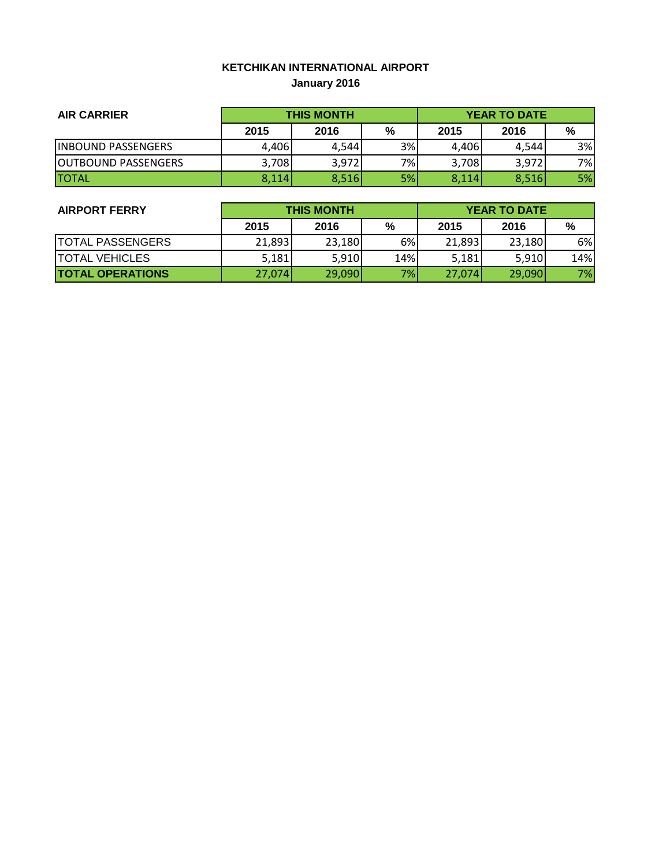# **KETCHIKAN INTERNATIONAL AIRPORT January 2016**

| <b>AIR CARRIER</b>          | <b>THIS MONTH</b> |       |    | <b>YEAR TO DATE</b> |       |     |
|-----------------------------|-------------------|-------|----|---------------------|-------|-----|
|                             | 2015              | 2016  | %  | 2015                | 2016  | %   |
| <b>INBOUND PASSENGERS</b>   | 4,406             | 4.544 | 3% | 4,406               | 4,544 | 3%  |
| <b>JOUTBOUND PASSENGERS</b> | 3,708             | 3,972 | 7% | 3,708               | 3,972 | 7%I |
| <b>ITOTAL</b>               | 8,114             | 8,516 | 5% | 8,114               | 8,516 | 5%  |

| <b>AIRPORT FERRY</b>    | <b>THIS MONTH</b> |        |                 | <b>YEAR TO DATE</b> |        |     |  |
|-------------------------|-------------------|--------|-----------------|---------------------|--------|-----|--|
|                         | 2015              | 2016   | $\%$            | 2015                | 2016   | %   |  |
| <b>TOTAL PASSENGERS</b> | 21,893            | 23,180 | 6%              | 21,893              | 23,180 | 6%  |  |
| <b>TOTAL VEHICLES</b>   | 5,181             | 5,910  | 14%             | 5,181               | 5,910  | 14% |  |
| <b>TOTAL OPERATIONS</b> | 27,074            | 29,090 | 7% <sub>1</sub> | 27,074              | 29,090 | 7%  |  |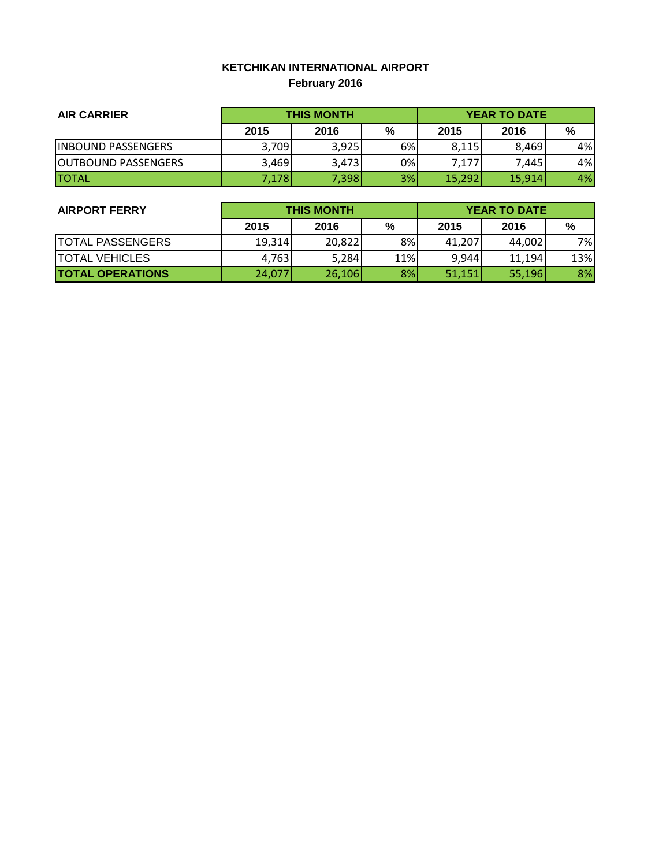# **KETCHIKAN INTERNATIONAL AIRPORT February 2016**

| <b>AIR CARRIER</b>          | <b>THIS MONTH</b> |       |       | <b>YEAR TO DATE</b> |        |     |
|-----------------------------|-------------------|-------|-------|---------------------|--------|-----|
|                             | 2015              | 2016  | %     | 2015                | 2016   | %   |
| <b>INBOUND PASSENGERS</b>   | 3,709             | 3,925 | 6%    | 8,115               | 8.469  | 4%I |
| <b>JOUTBOUND PASSENGERS</b> | 3,469             | 3,473 | $0\%$ | 7,177               | 7.4451 | 4%  |
| <b>ITOTAL</b>               | 7,178             | 7,398 | 3%    | 15,292              | 15,914 | 4%  |

| <b>AIRPORT FERRY</b>    | <b>THIS MONTH</b> |        |     | <b>YEAR TO DATE</b> |        |     |  |
|-------------------------|-------------------|--------|-----|---------------------|--------|-----|--|
|                         | 2015              | 2016   | %   | 2015                | 2016   | %   |  |
| <b>TOTAL PASSENGERS</b> | 19,314            | 20,822 | 8%  | 41.207              | 44,002 | 7%I |  |
| <b>TOTAL VEHICLES</b>   | 4,763             | 5,284  | 11% | 9,944               | 11.194 | 13% |  |
| <b>TOTAL OPERATIONS</b> | 24,077            | 26,106 | 8%  | 51,151              | 55,196 | 8%  |  |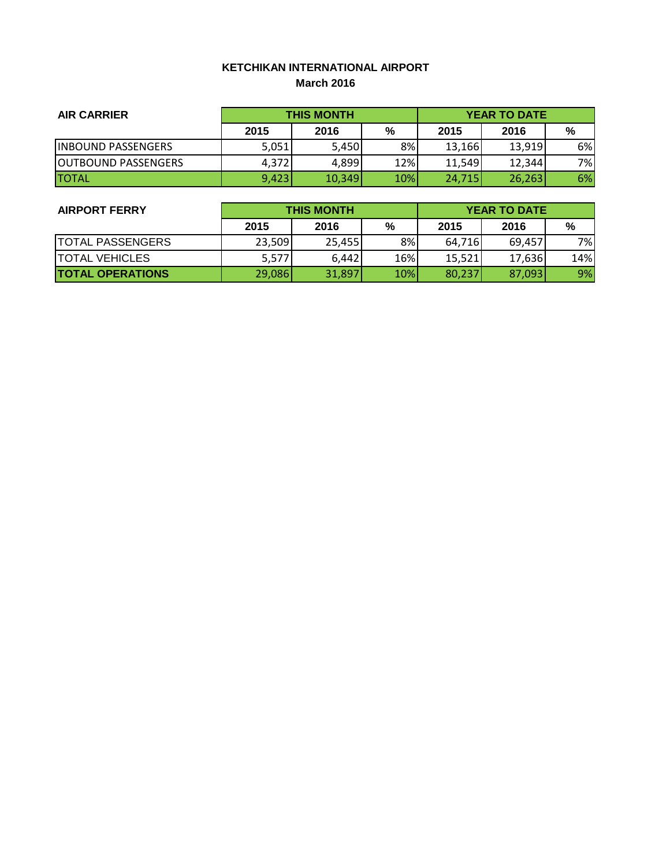### **KETCHIKAN INTERNATIONAL AIRPORT March 2016**

| <b>AIR CARRIER</b>          | <b>THIS MONTH</b> |        |     | <b>YEAR TO DATE</b> |        |     |  |
|-----------------------------|-------------------|--------|-----|---------------------|--------|-----|--|
|                             | 2015              | 2016   | %   | 2015                | 2016   | %   |  |
| <b>INBOUND PASSENGERS</b>   | 5,051             | 5,450  | 8%  | 13,166              | 13,919 | 6%  |  |
| <b>JOUTBOUND PASSENGERS</b> | 4,372             | 4,899  | 12% | 11,549              | 12,344 | 7%I |  |
| <b>ITOTAL</b>               | 9,423             | 10,349 | 10% | 24,715              | 26,263 | 6%  |  |

| <b>AIRPORT FERRY</b>    | <b>THIS MONTH</b> |        |      | <b>YEAR TO DATE</b> |        |     |  |
|-------------------------|-------------------|--------|------|---------------------|--------|-----|--|
|                         | 2015              | 2016   | $\%$ | 2015                | 2016   | %   |  |
| <b>TOTAL PASSENGERS</b> | 23,509            | 25,455 | 8%   | 64,716              | 69.457 | 7%  |  |
| <b>TOTAL VEHICLES</b>   | 5,577             | 6.442  | 16%  | 15,521              | 17.636 | 14% |  |
| <b>TOTAL OPERATIONS</b> | 29,086            | 31,897 | 10%  | 80,237              | 87,093 | 9%  |  |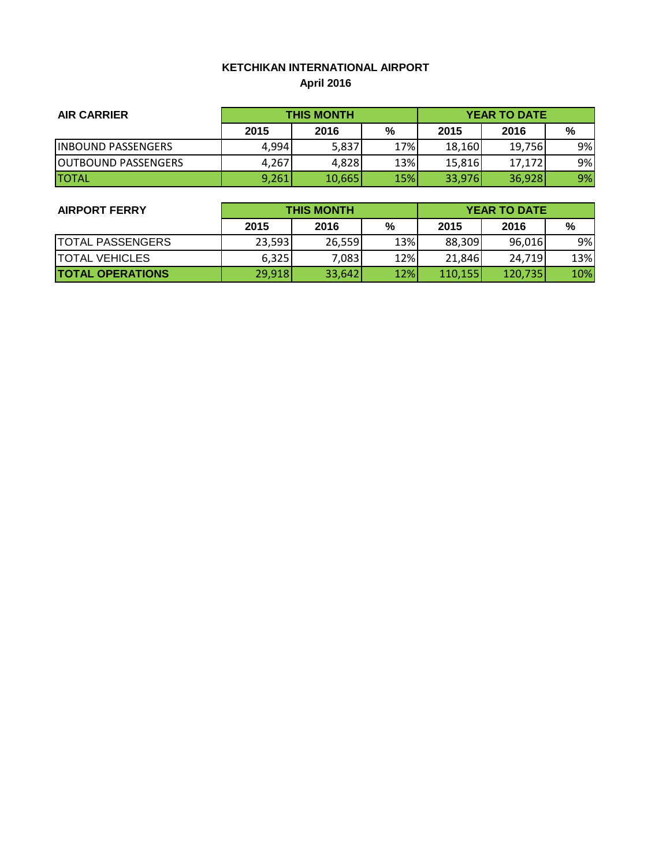## **KETCHIKAN INTERNATIONAL AIRPORT April 2016**

| <b>AIR CARRIER</b>          | <b>THIS MONTH</b> |        |     | <b>YEAR TO DATE</b> |        |    |
|-----------------------------|-------------------|--------|-----|---------------------|--------|----|
|                             | 2015              | 2016   | %   | 2015                | 2016   | %  |
| <b>INBOUND PASSENGERS</b>   | 4,994             | 5,837  | 17% | 18,160              | 19.756 | 9% |
| <b>JOUTBOUND PASSENGERS</b> | 4.267             | 4,828  | 13% | 15,816              | 17,172 | 9% |
| <b>TOTAL</b>                | 9,261             | 10,665 | 15% | 33,976              | 36,928 | 9% |

| <b>AIRPORT FERRY</b>    | <b>THIS MONTH</b> |        |      | <b>YEAR TO DATE</b> |         |     |  |
|-------------------------|-------------------|--------|------|---------------------|---------|-----|--|
|                         | 2015              | 2016   | $\%$ | 2015                | 2016    | %   |  |
| <b>TOTAL PASSENGERS</b> | 23,593            | 26,559 | 13%  | 88,309              | 96,016  | 9%  |  |
| <b>TOTAL VEHICLES</b>   | 6,325             | 7,083  | 12%  | 21,846              | 24,719  | 13% |  |
| <b>TOTAL OPERATIONS</b> | 29,918            | 33,642 | 12%  | 110,155             | 120,735 | 10% |  |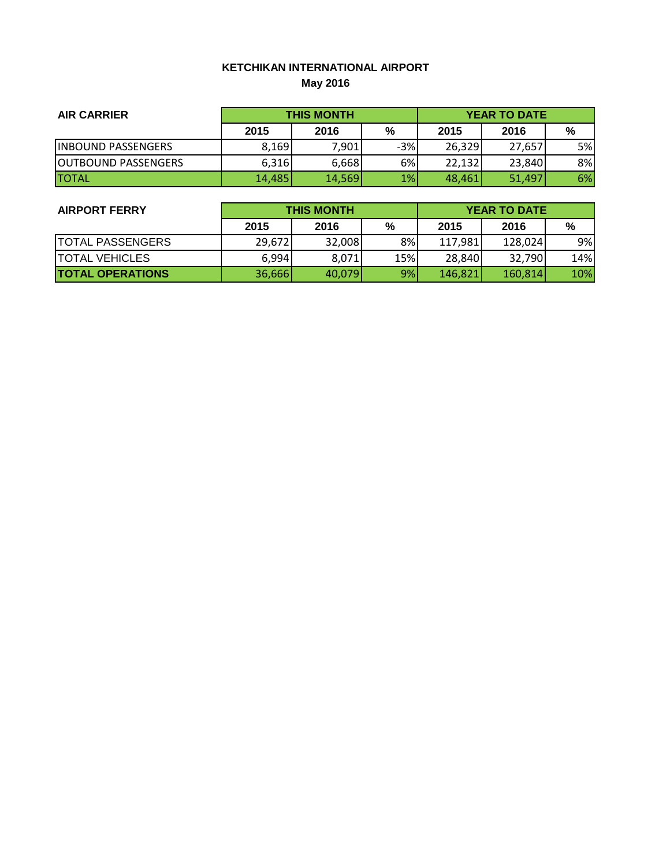## **KETCHIKAN INTERNATIONAL AIRPORT May 2016**

| <b>AIR CARRIER</b>          | <b>THIS MONTH</b> |        |       | <b>YEAR TO DATE</b> |        |    |  |
|-----------------------------|-------------------|--------|-------|---------------------|--------|----|--|
|                             | 2015              | 2016   | %     | 2015                | 2016   | %  |  |
| <b>INBOUND PASSENGERS</b>   | 8,169             | 7,901  | $-3%$ | 26,329              | 27.657 | 5% |  |
| <b>JOUTBOUND PASSENGERS</b> | 6,316             | 6,668  | 6%    | 22.132              | 23,840 | 8% |  |
| <b>ITOTAL</b>               | 14,485            | 14,569 | 1%    | 48.461              | 51,497 | 6% |  |

| <b>AIRPORT FERRY</b>    | <b>THIS MONTH</b> |        |      | <b>YEAR TO DATE</b> |         |     |  |
|-------------------------|-------------------|--------|------|---------------------|---------|-----|--|
|                         | 2015              | 2016   | $\%$ | 2015                | 2016    | %   |  |
| <b>TOTAL PASSENGERS</b> | 29,672            | 32,008 | 8%   | 117,981             | 128,024 | 9%  |  |
| <b>TOTAL VEHICLES</b>   | 6,994             | 8.071  | 15%  | 28,840              | 32,790  | 14% |  |
| <b>TOTAL OPERATIONS</b> | 36,666            | 40,079 | 9%   | 146,821             | 160,814 | 10% |  |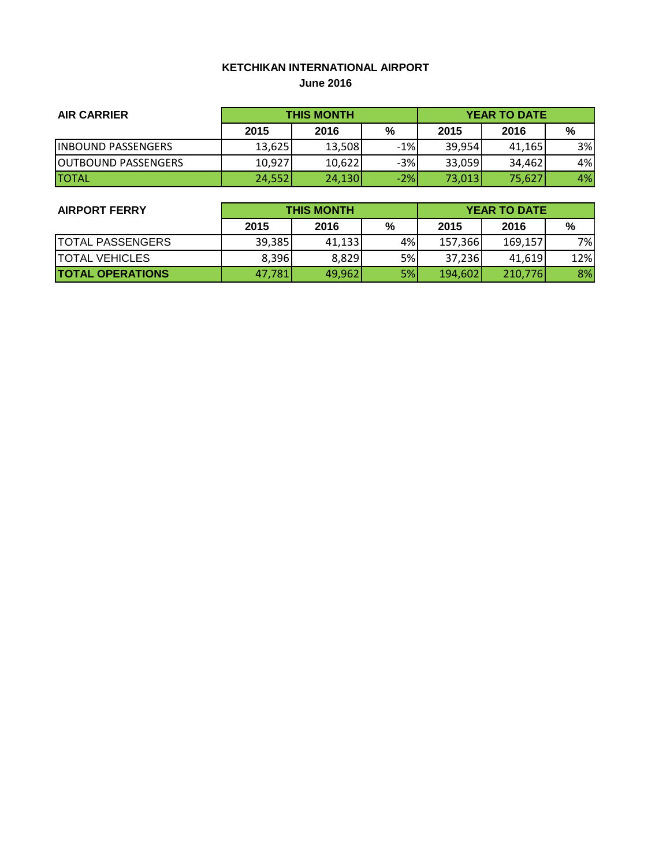### **KETCHIKAN INTERNATIONAL AIRPORT June 2016**

| <b>AIR CARRIER</b>          | <b>THIS MONTH</b> |        |       | <b>YEAR TO DATE</b> |        |    |
|-----------------------------|-------------------|--------|-------|---------------------|--------|----|
|                             | 2015              | 2016   | %     | 2015                | 2016   | %  |
| <b>INBOUND PASSENGERS</b>   | 13,625            | 13,508 | $-1%$ | 39,954              | 41,165 | 3% |
| <b>JOUTBOUND PASSENGERS</b> | 10,927            | 10,622 | $-3%$ | 33,059              | 34.462 | 4% |
| <b>ITOTAL</b>               | 24,552            | 24,130 | $-2%$ | 73,013              | 75,627 | 4% |

| <b>AIRPORT FERRY</b>    | <b>THIS MONTH</b> |        |      | <b>YEAR TO DATE</b> |         |     |  |
|-------------------------|-------------------|--------|------|---------------------|---------|-----|--|
|                         | 2015              | 2016   | $\%$ | 2015                | 2016    | %   |  |
| <b>TOTAL PASSENGERS</b> | 39,385            | 41,133 | 4%   | 157,366             | 169,157 | 7%  |  |
| <b>TOTAL VEHICLES</b>   | 8,396             | 8,829  | 5%   | 37,236              | 41,619  | 12% |  |
| <b>TOTAL OPERATIONS</b> | 47,781            | 49,962 | 5%   | 194,602             | 210,776 | 8%  |  |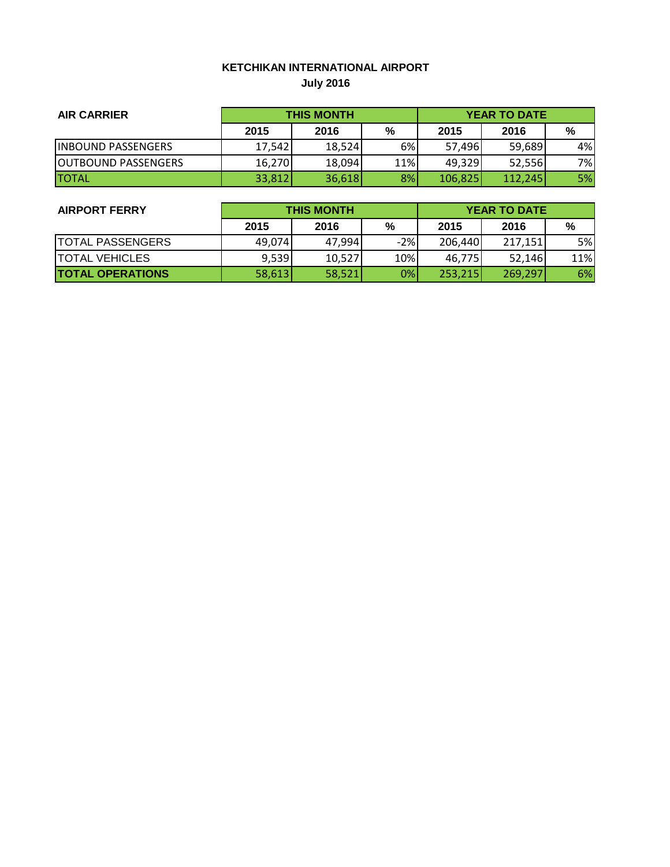## **KETCHIKAN INTERNATIONAL AIRPORT July 2016**

| <b>AIR CARRIER</b>          | <b>THIS MONTH</b> |        |     | <b>YEAR TO DATE</b> |         |     |
|-----------------------------|-------------------|--------|-----|---------------------|---------|-----|
|                             | 2015              | 2016   | %   | 2015                | 2016    | %   |
| <b>INBOUND PASSENGERS</b>   | 17,542            | 18,524 | 6%  | 57,496              | 59,689  | 4%I |
| <b>JOUTBOUND PASSENGERS</b> | 16,270            | 18,094 | 11% | 49,329              | 52.556  | 7%I |
| <b>ITOTAL</b>               | 33,812            | 36,618 | 8%  | 106,825             | 112,245 | 5%  |

| <b>AIRPORT FERRY</b>    | <b>THIS MONTH</b> |        |       | <b>YEAR TO DATE</b> |         |     |  |
|-------------------------|-------------------|--------|-------|---------------------|---------|-----|--|
|                         | 2015              | 2016   | $\%$  | 2015                | 2016    | %   |  |
| <b>TOTAL PASSENGERS</b> | 49,074            | 47,994 | $-2%$ | 206.440             | 217,151 | 5%l |  |
| <b>TOTAL VEHICLES</b>   | 9,539             | 10,527 | 10%   | 46,775              | 52,146  | 11% |  |
| <b>TOTAL OPERATIONS</b> | 58,613            | 58,521 | 0%    | 253,215             | 269,297 | 6%  |  |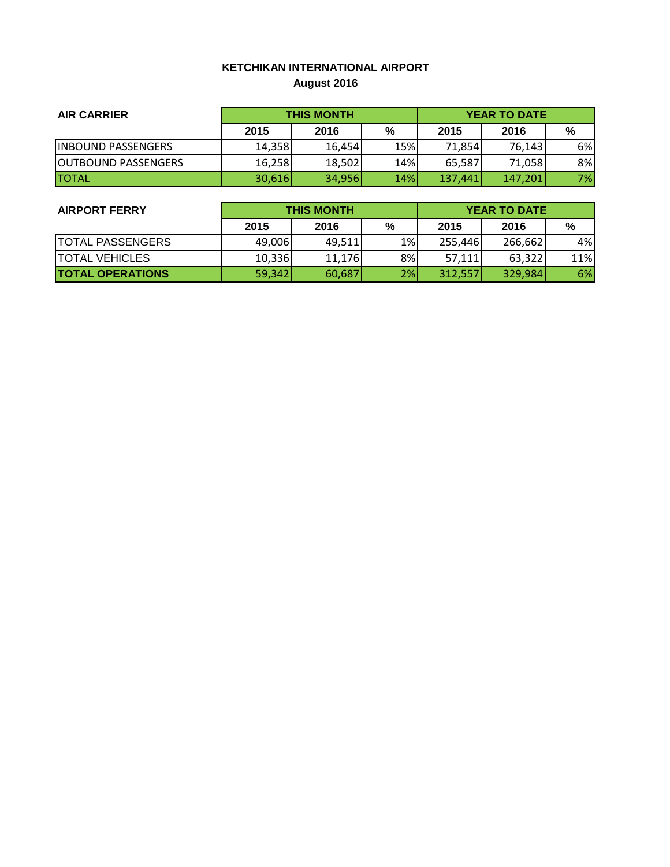# **KETCHIKAN INTERNATIONAL AIRPORT August 2016**

| <b>AIR CARRIER</b>          | <b>THIS MONTH</b> |        |     | <b>YEAR TO DATE</b> |         |    |  |
|-----------------------------|-------------------|--------|-----|---------------------|---------|----|--|
|                             | 2015              | 2016   | %   | 2015                | 2016    | %  |  |
| <b>INBOUND PASSENGERS</b>   | 14,358            | 16.454 | 15% | 71.854              | 76.143  | 6% |  |
| <b>JOUTBOUND PASSENGERS</b> | 16.258            | 18,502 | 14% | 65,587              | 71,058  | 8% |  |
| <b>TOTAL</b>                | 30,616            | 34,956 | 14% | 137.441             | 147,201 | 7% |  |

| <b>AIRPORT FERRY</b>    | <b>THIS MONTH</b> |        |      | <b>YEAR TO DATE</b> |         |     |  |
|-------------------------|-------------------|--------|------|---------------------|---------|-----|--|
|                         | 2015              | 2016   | $\%$ | 2015                | 2016    | %   |  |
| <b>TOTAL PASSENGERS</b> | 49,006            | 49,511 | 1%   | 255,446             | 266,662 | 4%I |  |
| <b>TOTAL VEHICLES</b>   | 10,336            | 11.176 | 8%   | 57,111              | 63,322  | 11% |  |
| <b>TOTAL OPERATIONS</b> | 59,342            | 60,687 | 2%   | 312,557             | 329,984 | 6%  |  |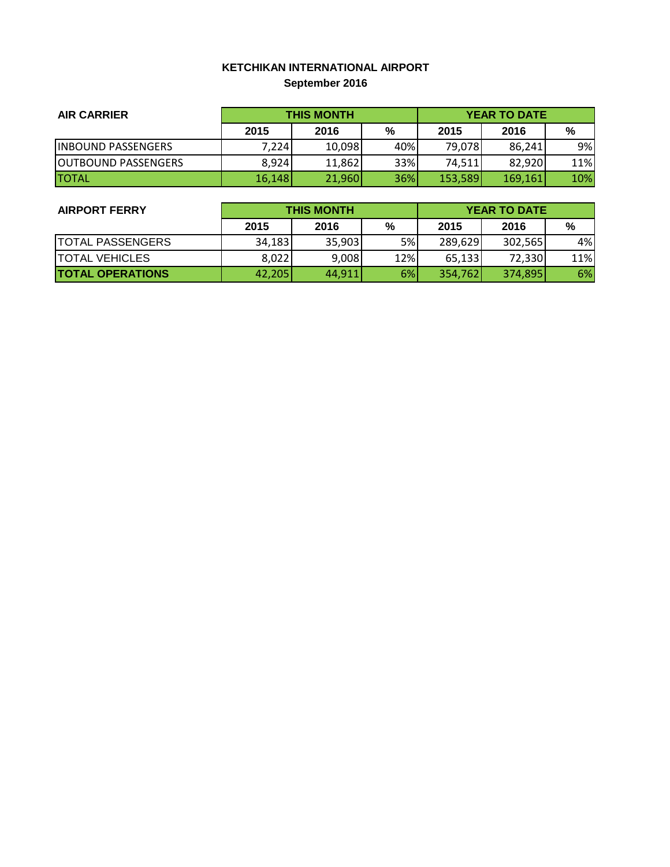## **KETCHIKAN INTERNATIONAL AIRPORT September 2016**

| <b>AIR CARRIER</b>          | <b>THIS MONTH</b> |        |     | <b>YEAR TO DATE</b> |         |            |
|-----------------------------|-------------------|--------|-----|---------------------|---------|------------|
|                             | 2015              | 2016   | %   | 2015                | 2016    | %          |
| <b>INBOUND PASSENGERS</b>   | 7.224             | 10,098 | 40% | 79,078              | 86.241  | 9%         |
| <b>JOUTBOUND PASSENGERS</b> | 8,924             | 11,862 | 33% | 74,511              | 82.920  | 11%        |
| <b>ITOTAL</b>               | 16,148            | 21,960 | 36% | 153,589             | 169,161 | <b>10%</b> |

| <b>AIRPORT FERRY</b>    | <b>THIS MONTH</b> |        |      | <b>YEAR TO DATE</b> |         |     |  |
|-------------------------|-------------------|--------|------|---------------------|---------|-----|--|
|                         | 2015              | 2016   | $\%$ | 2015                | 2016    | %   |  |
| <b>TOTAL PASSENGERS</b> | 34,183            | 35,903 | 5%   | 289,629             | 302,565 | 4%I |  |
| <b>TOTAL VEHICLES</b>   | 8,022             | 9,008  | 12%  | 65,133              | 72,330  | 11% |  |
| <b>TOTAL OPERATIONS</b> | 42,205            | 44,911 | 6%   | 354,762             | 374,895 | 6%  |  |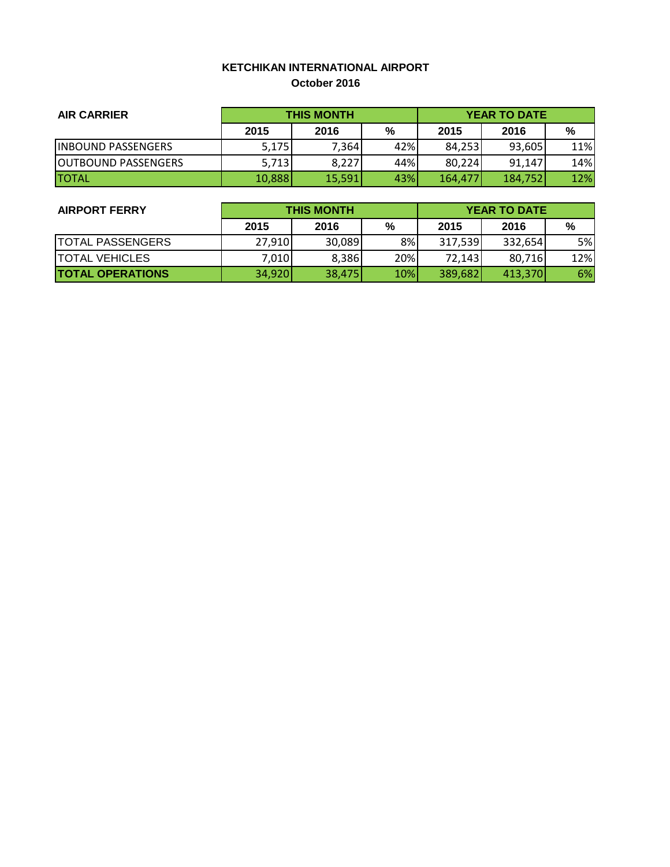### **KETCHIKAN INTERNATIONAL AIRPORT October 2016**

| <b>AIR CARRIER</b>          | <b>THIS MONTH</b> |        |     | <b>YEAR TO DATE</b> |         |     |  |
|-----------------------------|-------------------|--------|-----|---------------------|---------|-----|--|
|                             | 2015              | 2016   | %   | 2015                | 2016    | %   |  |
| <b>INBOUND PASSENGERS</b>   | 5,175             | 7,364  | 42% | 84,253              | 93,605  | 11% |  |
| <b>JOUTBOUND PASSENGERS</b> | 5,713             | 8,227  | 44% | 80.224              | 91,147  | 14% |  |
| <b>TOTAL</b>                | 10,888            | 15,591 | 43% | 164,477             | 184,752 | 12% |  |

| <b>AIRPORT FERRY</b>    | <b>THIS MONTH</b> |        |      | <b>YEAR TO DATE</b> |         |     |  |
|-------------------------|-------------------|--------|------|---------------------|---------|-----|--|
|                         | 2015              | 2016   | $\%$ | 2015                | 2016    | %   |  |
| <b>TOTAL PASSENGERS</b> | 27,910            | 30,089 | 8%   | 317,539             | 332.654 | 5%l |  |
| <b>TOTAL VEHICLES</b>   | 7,010             | 8,386  | 20%  | 72.1431             | 80,716  | 12% |  |
| <b>TOTAL OPERATIONS</b> | 34,920            | 38,475 | 10%  | 389,682             | 413,370 | 6%  |  |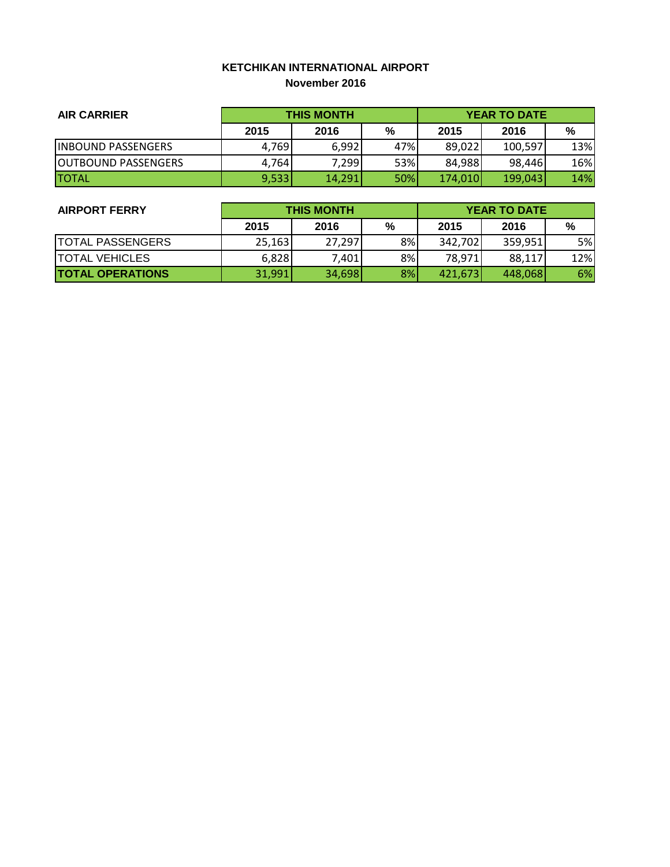#### **KETCHIKAN INTERNATIONAL AIRPORT November 2016**

| <b>AIR CARRIER</b>          | <b>THIS MONTH</b> |        |     | <b>YEAR TO DATE</b> |         |     |
|-----------------------------|-------------------|--------|-----|---------------------|---------|-----|
|                             | 2015              | 2016   | %   | 2015                | 2016    | %   |
| <b>INBOUND PASSENGERS</b>   | 4,769             | 6,992  | 47% | 89,022              | 100,597 | 13% |
| <b>JOUTBOUND PASSENGERS</b> | 4,764             | 7,299  | 53% | 84,988              | 98,446  | 16% |
| <b>ITOTAL</b>               | 9,533             | 14,291 | 50% | 174,010             | 199,043 | 14% |

| <b>AIRPORT FERRY</b>    | <b>THIS MONTH</b> |        |      | <b>YEAR TO DATE</b> |         |     |  |
|-------------------------|-------------------|--------|------|---------------------|---------|-----|--|
|                         | 2015              | 2016   | $\%$ | 2015                | 2016    | %   |  |
| <b>TOTAL PASSENGERS</b> | 25,163            | 27,297 | 8%   | 342,702             | 359,951 | 5%I |  |
| <b>TOTAL VEHICLES</b>   | 6,828             | 7,401  | 8%   | 78,971              | 88,117  | 12% |  |
| <b>TOTAL OPERATIONS</b> | 31,991            | 34,698 | 8%   | 421,673             | 448,068 | 6%  |  |